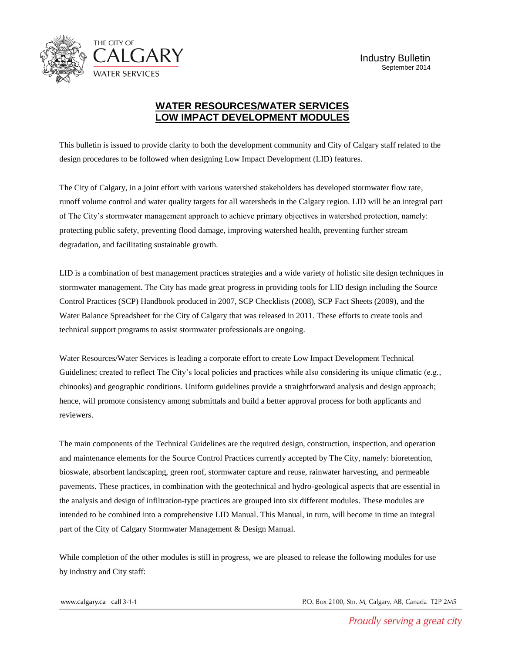

## **WATER RESOURCES/WATER SERVICES LOW IMPACT DEVELOPMENT MODULES**

This bulletin is issued to provide clarity to both the development community and City of Calgary staff related to the design procedures to be followed when designing Low Impact Development (LID) features.

The City of Calgary, in a joint effort with various watershed stakeholders has developed stormwater flow rate, runoff volume control and water quality targets for all watersheds in the Calgary region. LID will be an integral part of The City's stormwater management approach to achieve primary objectives in watershed protection, namely: protecting public safety, preventing flood damage, improving watershed health, preventing further stream degradation, and facilitating sustainable growth.

LID is a combination of best management practices strategies and a wide variety of holistic site design techniques in stormwater management. The City has made great progress in providing tools for LID design including the Source Control Practices (SCP) Handbook produced in 2007, SCP Checklists (2008), SCP Fact Sheets (2009), and the Water Balance Spreadsheet for the City of Calgary that was released in 2011. These efforts to create tools and technical support programs to assist stormwater professionals are ongoing.

Water Resources/Water Services is leading a corporate effort to create Low Impact Development Technical Guidelines; created to reflect The City's local policies and practices while also considering its unique climatic (e.g., chinooks) and geographic conditions. Uniform guidelines provide a straightforward analysis and design approach; hence, will promote consistency among submittals and build a better approval process for both applicants and reviewers.

The main components of the Technical Guidelines are the required design, construction, inspection, and operation and maintenance elements for the Source Control Practices currently accepted by The City, namely: bioretention, bioswale, absorbent landscaping, green roof, stormwater capture and reuse, rainwater harvesting, and permeable pavements. These practices, in combination with the geotechnical and hydro-geological aspects that are essential in the analysis and design of infiltration-type practices are grouped into six different modules. These modules are intended to be combined into a comprehensive LID Manual. This Manual, in turn, will become in time an integral part of the City of Calgary Stormwater Management & Design Manual.

While completion of the other modules is still in progress, we are pleased to release the following modules for use by industry and City staff:

www.calgary.ca call 3-1-1

P.O. Box 2100, Stn. M, Calgary, AB, Canada T2P 2M5